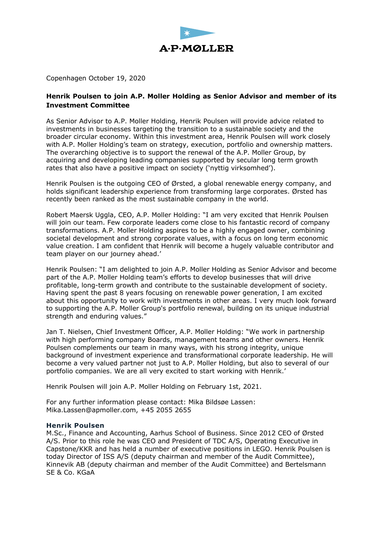

Copenhagen October 19, 2020

## **Henrik Poulsen to join A.P. Moller Holding as Senior Advisor and member of its Investment Committee**

As Senior Advisor to A.P. Moller Holding, Henrik Poulsen will provide advice related to investments in businesses targeting the transition to a sustainable society and the broader circular economy. Within this investment area, Henrik Poulsen will work closely with A.P. Moller Holding's team on strategy, execution, portfolio and ownership matters. The overarching objective is to support the renewal of the A.P. Moller Group, by acquiring and developing leading companies supported by secular long term growth rates that also have a positive impact on society ('nyttig virksomhed').

Henrik Poulsen is the outgoing CEO of Ørsted, a global renewable energy company, and holds significant leadership experience from transforming large corporates. Ørsted has recently been ranked as the most sustainable company in the world.

Robert Maersk Uggla, CEO, A.P. Moller Holding: "I am very excited that Henrik Poulsen will join our team. Few corporate leaders come close to his fantastic record of company transformations. A.P. Moller Holding aspires to be a highly engaged owner, combining societal development and strong corporate values, with a focus on long term economic value creation. I am confident that Henrik will become a hugely valuable contributor and team player on our journey ahead.'

Henrik Poulsen: "I am delighted to join A.P. Moller Holding as Senior Advisor and become part of the A.P. Moller Holding team's efforts to develop businesses that will drive profitable, long-term growth and contribute to the sustainable development of society. Having spent the past 8 years focusing on renewable power generation, I am excited about this opportunity to work with investments in other areas. I very much look forward to supporting the A.P. Moller Group's portfolio renewal, building on its unique industrial strength and enduring values."

Jan T. Nielsen, Chief Investment Officer, A.P. Moller Holding: "We work in partnership with high performing company Boards, management teams and other owners. Henrik Poulsen complements our team in many ways, with his strong integrity, unique background of investment experience and transformational corporate leadership. He will become a very valued partner not just to A.P. Moller Holding, but also to several of our portfolio companies. We are all very excited to start working with Henrik.'

Henrik Poulsen will join A.P. Moller Holding on February 1st, 2021.

For any further information please contact: Mika Bildsøe Lassen: Mika.Lassen@apmoller.com, +45 2055 2655

## **Henrik Poulsen**

M.Sc., Finance and Accounting, Aarhus School of Business. Since 2012 CEO of Ørsted A/S. Prior to this role he was CEO and President of TDC A/S, Operating Executive in Capstone/KKR and has held a number of executive positions in LEGO. Henrik Poulsen is today Director of ISS A/S (deputy chairman and member of the Audit Committee), Kinnevik AB (deputy chairman and member of the Audit Committee) and Bertelsmann SE & Co. KGaA